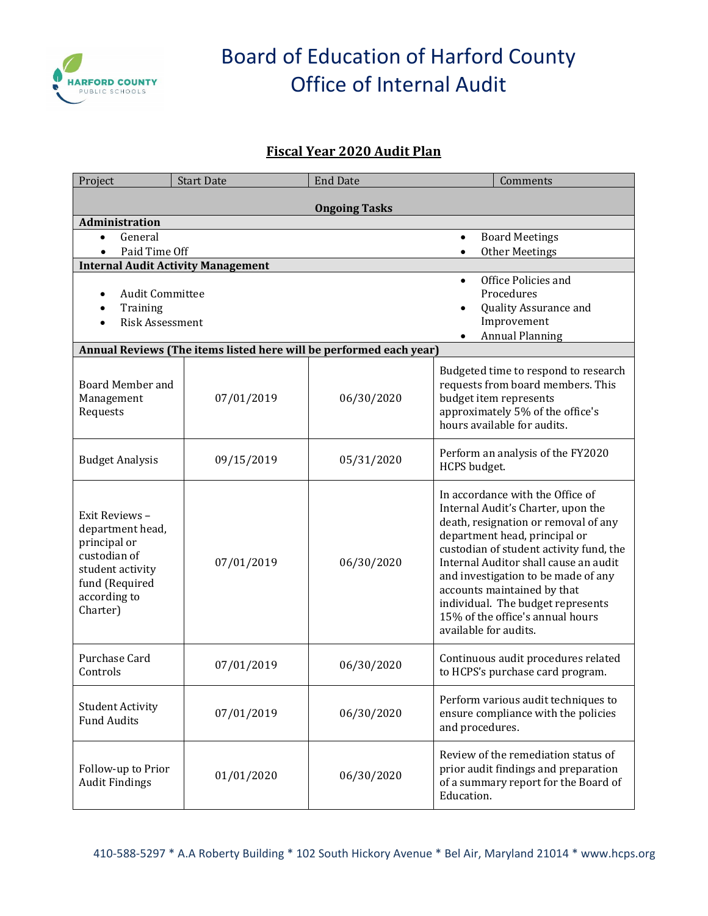

# Board of Education of Harford County Office of Internal Audit

### **Fiscal Year 2020 Audit Plan**

| Project                                                                                                                              | <b>Start Date</b>                                                  | <b>End Date</b> | Comments                                                                                                                                                                                                                                                                                                                                                                                                    |  |  |
|--------------------------------------------------------------------------------------------------------------------------------------|--------------------------------------------------------------------|-----------------|-------------------------------------------------------------------------------------------------------------------------------------------------------------------------------------------------------------------------------------------------------------------------------------------------------------------------------------------------------------------------------------------------------------|--|--|
| <b>Ongoing Tasks</b>                                                                                                                 |                                                                    |                 |                                                                                                                                                                                                                                                                                                                                                                                                             |  |  |
| Administration                                                                                                                       |                                                                    |                 |                                                                                                                                                                                                                                                                                                                                                                                                             |  |  |
| General<br>$\bullet$                                                                                                                 |                                                                    |                 | <b>Board Meetings</b><br>$\bullet$                                                                                                                                                                                                                                                                                                                                                                          |  |  |
| Paid Time Off<br>$\bullet$                                                                                                           |                                                                    |                 | <b>Other Meetings</b><br>$\bullet$                                                                                                                                                                                                                                                                                                                                                                          |  |  |
| <b>Internal Audit Activity Management</b>                                                                                            |                                                                    |                 |                                                                                                                                                                                                                                                                                                                                                                                                             |  |  |
|                                                                                                                                      |                                                                    |                 | Office Policies and                                                                                                                                                                                                                                                                                                                                                                                         |  |  |
| <b>Audit Committee</b>                                                                                                               |                                                                    |                 | Procedures                                                                                                                                                                                                                                                                                                                                                                                                  |  |  |
| Training                                                                                                                             |                                                                    |                 | Quality Assurance and                                                                                                                                                                                                                                                                                                                                                                                       |  |  |
| <b>Risk Assessment</b>                                                                                                               |                                                                    |                 | Improvement<br><b>Annual Planning</b>                                                                                                                                                                                                                                                                                                                                                                       |  |  |
|                                                                                                                                      | Annual Reviews (The items listed here will be performed each year) |                 |                                                                                                                                                                                                                                                                                                                                                                                                             |  |  |
|                                                                                                                                      |                                                                    |                 |                                                                                                                                                                                                                                                                                                                                                                                                             |  |  |
| Board Member and<br>Management<br>Requests                                                                                           | 07/01/2019                                                         | 06/30/2020      | Budgeted time to respond to research<br>requests from board members. This<br>budget item represents<br>approximately 5% of the office's<br>hours available for audits.                                                                                                                                                                                                                                      |  |  |
| <b>Budget Analysis</b>                                                                                                               | 09/15/2019                                                         | 05/31/2020      | Perform an analysis of the FY2020<br>HCPS budget.                                                                                                                                                                                                                                                                                                                                                           |  |  |
| Exit Reviews -<br>department head,<br>principal or<br>custodian of<br>student activity<br>fund (Required<br>according to<br>Charter) | 07/01/2019                                                         | 06/30/2020      | In accordance with the Office of<br>Internal Audit's Charter, upon the<br>death, resignation or removal of any<br>department head, principal or<br>custodian of student activity fund, the<br>Internal Auditor shall cause an audit<br>and investigation to be made of any<br>accounts maintained by that<br>individual. The budget represents<br>15% of the office's annual hours<br>available for audits. |  |  |
| Purchase Card<br>Controls                                                                                                            | 07/01/2019                                                         | 06/30/2020      | Continuous audit procedures related<br>to HCPS's purchase card program.                                                                                                                                                                                                                                                                                                                                     |  |  |
| <b>Student Activity</b><br><b>Fund Audits</b>                                                                                        | 07/01/2019                                                         | 06/30/2020      | Perform various audit techniques to<br>ensure compliance with the policies<br>and procedures.                                                                                                                                                                                                                                                                                                               |  |  |
| Follow-up to Prior<br><b>Audit Findings</b>                                                                                          | 01/01/2020                                                         | 06/30/2020      | Review of the remediation status of<br>prior audit findings and preparation<br>of a summary report for the Board of<br>Education.                                                                                                                                                                                                                                                                           |  |  |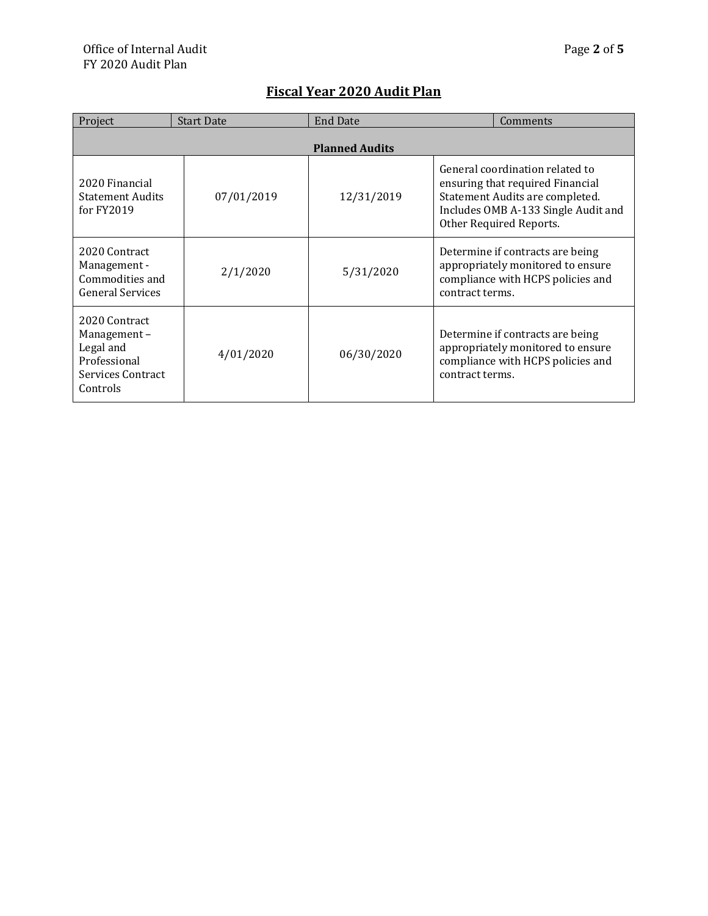| Project                                                                                    | <b>Start Date</b> | <b>End Date</b> | Comments                                                                                                                                                                 |  |
|--------------------------------------------------------------------------------------------|-------------------|-----------------|--------------------------------------------------------------------------------------------------------------------------------------------------------------------------|--|
| <b>Planned Audits</b>                                                                      |                   |                 |                                                                                                                                                                          |  |
| 2020 Financial<br><b>Statement Audits</b><br>for FY2019                                    | 07/01/2019        | 12/31/2019      | General coordination related to<br>ensuring that required Financial<br>Statement Audits are completed.<br>Includes OMB A-133 Single Audit and<br>Other Required Reports. |  |
| 2020 Contract<br>Management -<br>Commodities and<br><b>General Services</b>                | 2/1/2020          | 5/31/2020       | Determine if contracts are being<br>appropriately monitored to ensure<br>compliance with HCPS policies and<br>contract terms.                                            |  |
| 2020 Contract<br>Management-<br>Legal and<br>Professional<br>Services Contract<br>Controls | 4/01/2020         | 06/30/2020      | Determine if contracts are being<br>appropriately monitored to ensure<br>compliance with HCPS policies and<br>contract terms.                                            |  |

### **Fiscal Year 2020 Audit Plan**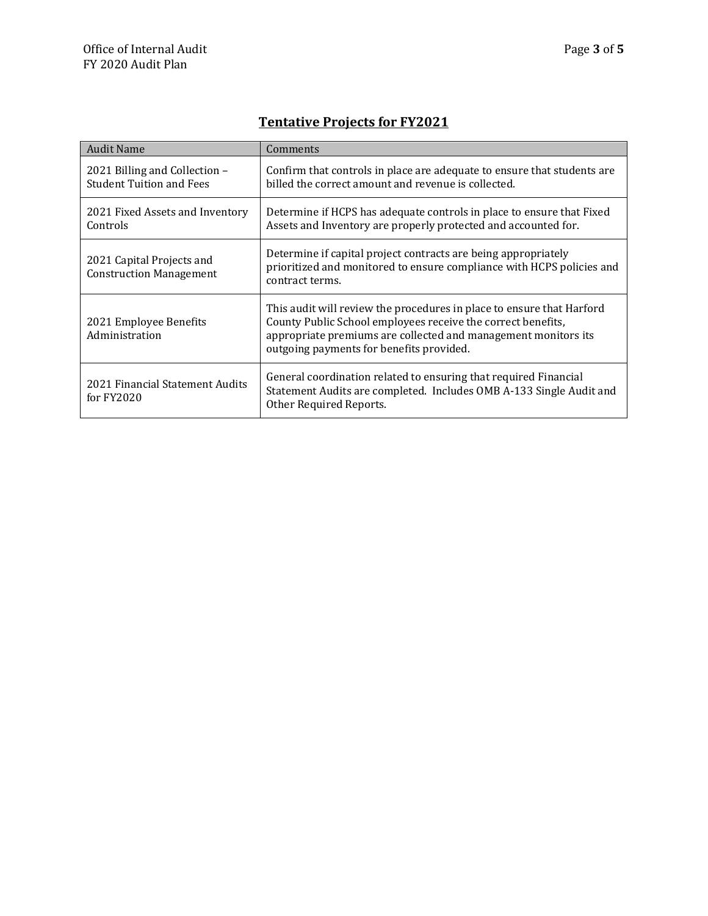| <b>Audit Name</b>                                                | Comments                                                                                                                                                                                                                                            |  |  |
|------------------------------------------------------------------|-----------------------------------------------------------------------------------------------------------------------------------------------------------------------------------------------------------------------------------------------------|--|--|
| 2021 Billing and Collection –<br><b>Student Tuition and Fees</b> | Confirm that controls in place are adequate to ensure that students are<br>billed the correct amount and revenue is collected.                                                                                                                      |  |  |
| 2021 Fixed Assets and Inventory<br>Controls                      | Determine if HCPS has adequate controls in place to ensure that Fixed<br>Assets and Inventory are properly protected and accounted for.                                                                                                             |  |  |
| 2021 Capital Projects and<br><b>Construction Management</b>      | Determine if capital project contracts are being appropriately<br>prioritized and monitored to ensure compliance with HCPS policies and<br>contract terms.                                                                                          |  |  |
| 2021 Employee Benefits<br>Administration                         | This audit will review the procedures in place to ensure that Harford<br>County Public School employees receive the correct benefits,<br>appropriate premiums are collected and management monitors its<br>outgoing payments for benefits provided. |  |  |
| 2021 Financial Statement Audits<br>for $FY2020$                  | General coordination related to ensuring that required Financial<br>Statement Audits are completed. Includes OMB A-133 Single Audit and<br>Other Required Reports.                                                                                  |  |  |

**Tentative Projects for FY2021**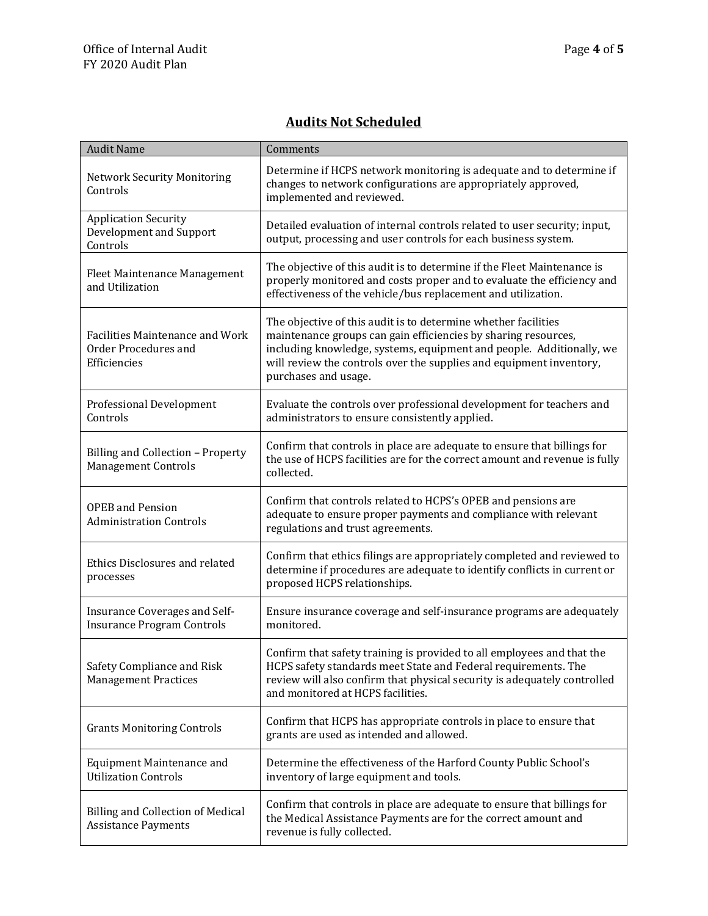### **Audits Not Scheduled**

| <b>Audit Name</b>                                                              | Comments                                                                                                                                                                                                                                                                                                |
|--------------------------------------------------------------------------------|---------------------------------------------------------------------------------------------------------------------------------------------------------------------------------------------------------------------------------------------------------------------------------------------------------|
| <b>Network Security Monitoring</b><br>Controls                                 | Determine if HCPS network monitoring is adequate and to determine if<br>changes to network configurations are appropriately approved,<br>implemented and reviewed.                                                                                                                                      |
| <b>Application Security</b><br>Development and Support<br>Controls             | Detailed evaluation of internal controls related to user security; input,<br>output, processing and user controls for each business system.                                                                                                                                                             |
| Fleet Maintenance Management<br>and Utilization                                | The objective of this audit is to determine if the Fleet Maintenance is<br>properly monitored and costs proper and to evaluate the efficiency and<br>effectiveness of the vehicle/bus replacement and utilization.                                                                                      |
| <b>Facilities Maintenance and Work</b><br>Order Procedures and<br>Efficiencies | The objective of this audit is to determine whether facilities<br>maintenance groups can gain efficiencies by sharing resources,<br>including knowledge, systems, equipment and people. Additionally, we<br>will review the controls over the supplies and equipment inventory,<br>purchases and usage. |
| <b>Professional Development</b><br>Controls                                    | Evaluate the controls over professional development for teachers and<br>administrators to ensure consistently applied.                                                                                                                                                                                  |
| Billing and Collection - Property<br><b>Management Controls</b>                | Confirm that controls in place are adequate to ensure that billings for<br>the use of HCPS facilities are for the correct amount and revenue is fully<br>collected.                                                                                                                                     |
| <b>OPEB</b> and Pension<br><b>Administration Controls</b>                      | Confirm that controls related to HCPS's OPEB and pensions are<br>adequate to ensure proper payments and compliance with relevant<br>regulations and trust agreements.                                                                                                                                   |
| Ethics Disclosures and related<br>processes                                    | Confirm that ethics filings are appropriately completed and reviewed to<br>determine if procedures are adequate to identify conflicts in current or<br>proposed HCPS relationships.                                                                                                                     |
| Insurance Coverages and Self-<br><b>Insurance Program Controls</b>             | Ensure insurance coverage and self-insurance programs are adequately<br>monitored.                                                                                                                                                                                                                      |
| Safety Compliance and Risk<br><b>Management Practices</b>                      | Confirm that safety training is provided to all employees and that the<br>HCPS safety standards meet State and Federal requirements. The<br>review will also confirm that physical security is adequately controlled<br>and monitored at HCPS facilities.                                               |
| <b>Grants Monitoring Controls</b>                                              | Confirm that HCPS has appropriate controls in place to ensure that<br>grants are used as intended and allowed.                                                                                                                                                                                          |
| <b>Equipment Maintenance and</b><br><b>Utilization Controls</b>                | Determine the effectiveness of the Harford County Public School's<br>inventory of large equipment and tools.                                                                                                                                                                                            |
| <b>Billing and Collection of Medical</b><br><b>Assistance Payments</b>         | Confirm that controls in place are adequate to ensure that billings for<br>the Medical Assistance Payments are for the correct amount and<br>revenue is fully collected.                                                                                                                                |